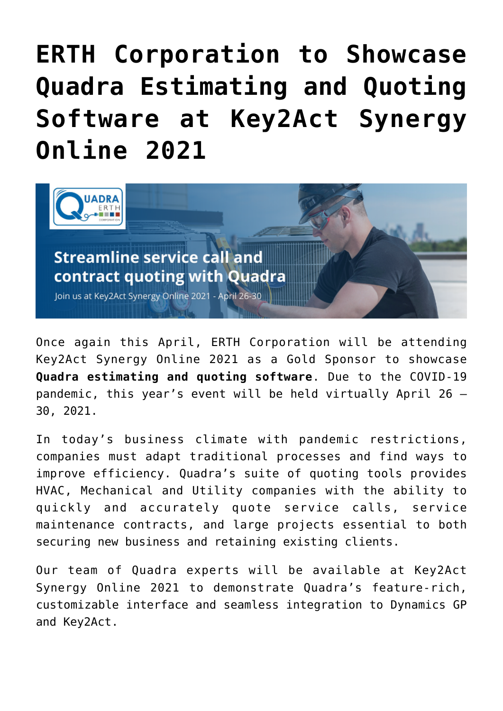## **[ERTH Corporation to Showcase](https://www.erthcorp.com/2021/04/12/erth-corporation-to-showcase-quadra-estimating-and-quoting-software-at-key2act-synergy-online-2021/) [Quadra Estimating and Quoting](https://www.erthcorp.com/2021/04/12/erth-corporation-to-showcase-quadra-estimating-and-quoting-software-at-key2act-synergy-online-2021/) [Software at Key2Act Synergy](https://www.erthcorp.com/2021/04/12/erth-corporation-to-showcase-quadra-estimating-and-quoting-software-at-key2act-synergy-online-2021/) [Online 2021](https://www.erthcorp.com/2021/04/12/erth-corporation-to-showcase-quadra-estimating-and-quoting-software-at-key2act-synergy-online-2021/)**



Once again this April, ERTH Corporation will be attending [Key2Act Synergy Online 2021](https://www.key2actsynergy.com/) as a Gold Sponsor to showcase **[Quadra](https://www.erthcorp.com/quadra-bids-quotes/) estimating and quoting software**. Due to the COVID-19 pandemic, this year's event will be held virtually April 26 – 30, 2021.

In today's business climate with pandemic restrictions, companies must adapt traditional processes and find ways to improve efficiency. Quadra's suite of quoting tools provides HVAC, Mechanical and Utility companies with the ability to quickly and accurately quote service calls, service maintenance contracts, and large projects essential to both securing new business and retaining existing clients.

Our team of Quadra experts will be available at Key2Act Synergy Online 2021 to demonstrate Quadra's feature-rich, customizable interface and seamless integration to Dynamics GP and Key2Act.